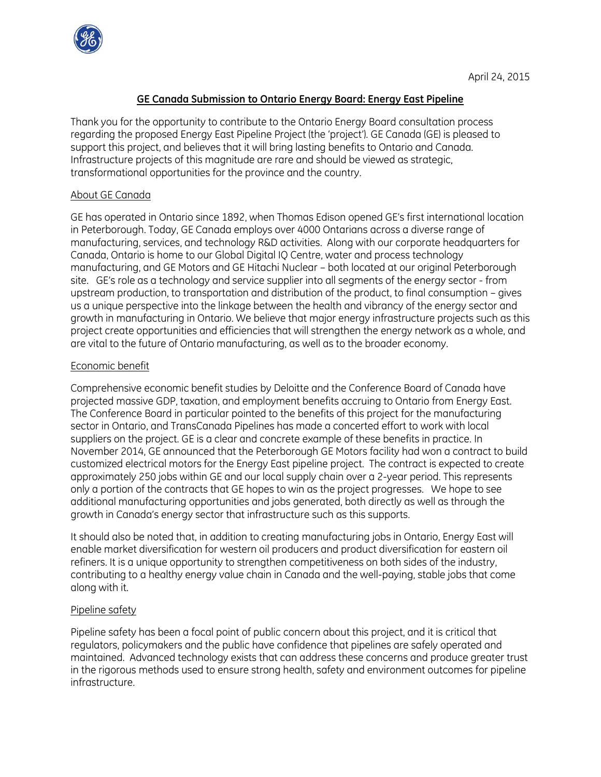

# **GE Canada Submission to Ontario Energy Board: Energy East Pipeline**

Thank you for the opportunity to contribute to the Ontario Energy Board consultation process regarding the proposed Energy East Pipeline Project (the 'project'). GE Canada (GE) is pleased to support this project, and believes that it will bring lasting benefits to Ontario and Canada. Infrastructure projects of this magnitude are rare and should be viewed as strategic, transformational opportunities for the province and the country.

## About GE Canada

GE has operated in Ontario since 1892, when Thomas Edison opened GE's first international location in Peterborough. Today, GE Canada employs over 4000 Ontarians across a diverse range of manufacturing, services, and technology R&D activities. Along with our corporate headquarters for Canada, Ontario is home to our Global Digital IQ Centre, water and process technology manufacturing, and GE Motors and GE Hitachi Nuclear – both located at our original Peterborough site. GE's role as a technology and service supplier into all segments of the energy sector - from upstream production, to transportation and distribution of the product, to final consumption – gives us a unique perspective into the linkage between the health and vibrancy of the energy sector and growth in manufacturing in Ontario. We believe that major energy infrastructure projects such as this project create opportunities and efficiencies that will strengthen the energy network as a whole, and are vital to the future of Ontario manufacturing, as well as to the broader economy.

# Economic benefit

Comprehensive economic benefit studies by Deloitte and the Conference Board of Canada have projected massive GDP, taxation, and employment benefits accruing to Ontario from Energy East. The Conference Board in particular pointed to the benefits of this project for the manufacturing sector in Ontario, and TransCanada Pipelines has made a concerted effort to work with local suppliers on the project. GE is a clear and concrete example of these benefits in practice. In November 2014, GE announced that the Peterborough GE Motors facility had won a contract to build customized electrical motors for the Energy East pipeline project. The contract is expected to create approximately 250 jobs within GE and our local supply chain over a 2-year period. This represents only a portion of the contracts that GE hopes to win as the project progresses. We hope to see additional manufacturing opportunities and jobs generated, both directly as well as through the growth in Canada's energy sector that infrastructure such as this supports.

It should also be noted that, in addition to creating manufacturing jobs in Ontario, Energy East will enable market diversification for western oil producers and product diversification for eastern oil refiners. It is a unique opportunity to strengthen competitiveness on both sides of the industry, contributing to a healthy energy value chain in Canada and the well-paying, stable jobs that come along with it.

# Pipeline safety

Pipeline safety has been a focal point of public concern about this project, and it is critical that regulators, policymakers and the public have confidence that pipelines are safely operated and maintained. Advanced technology exists that can address these concerns and produce greater trust in the rigorous methods used to ensure strong health, safety and environment outcomes for pipeline infrastructure.